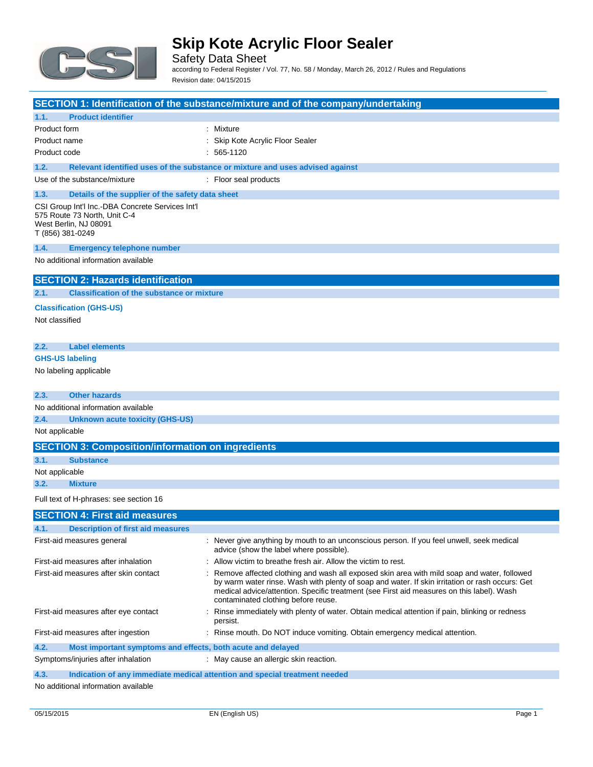

Safety Data Sheet according to Federal Register / Vol. 77, No. 58 / Monday, March 26, 2012 / Rules and Regulations Revision date: 04/15/2015

**SECTION 1: Identification of the substance/mixture and of the company/undertaking 1.1. Product identifier** Product form **: Mixture** Product name **Internal Contract Contract Contract Contract Contract Contract Contract Contract Contract Contract Contract Contract Contract Contract Contract Contract Contract Contract Contract Contract Contract Contract C** Product code : 565-1120 **1.2. Relevant identified uses of the substance or mixture and uses advised against** Use of the substance/mixture : Floor seal products **1.3. Details of the supplier of the safety data sheet** CSI Group Int'l Inc.-DBA Concrete Services Int'l 575 Route 73 North, Unit C-4 West Berlin, NJ 08091 T (856) 381-0249 **1.4. Emergency telephone number** No additional information available **SECTION 2: Hazards identification 2.1. Classification of the substance or mixture Classification (GHS-US)** Not classified **2.2. Label elements GHS-US labeling** No labeling applicable **2.3. Other hazards** No additional information available **2.4. Unknown acute toxicity (GHS-US)** Not applicable **SECTION 3: Composition/information on ingredients 3.1. Substance** Not applicable **3.2. Mixture** Full text of H-phrases: see section 16 **SECTION 4: First aid measures 4.1. Description of first aid measures** First-aid measures general interval in the state of the seven give anything by mouth to an unconscious person. If you feel unwell, seek medical advice (show the label where possible). First-aid measures after inhalation : Allow victim to breathe fresh air. Allow the victim to rest. First-aid measures after skin contact : Remove affected clothing and wash all exposed skin area with mild soap and water, followed by warm water rinse. Wash with plenty of soap and water. If skin irritation or rash occurs: Get medical advice/attention. Specific treatment (see First aid measures on this label). Wash contaminated clothing before reuse. First-aid measures after eye contact : Rinse immediately with plenty of water. Obtain medical attention if pain, blinking or redness persist. First-aid measures after ingestion : Rinse mouth. Do NOT induce vomiting. Obtain emergency medical attention. **4.2. Most important symptoms and effects, both acute and delayed**

**4.3. Indication of any immediate medical attention and special treatment needed**

No additional information available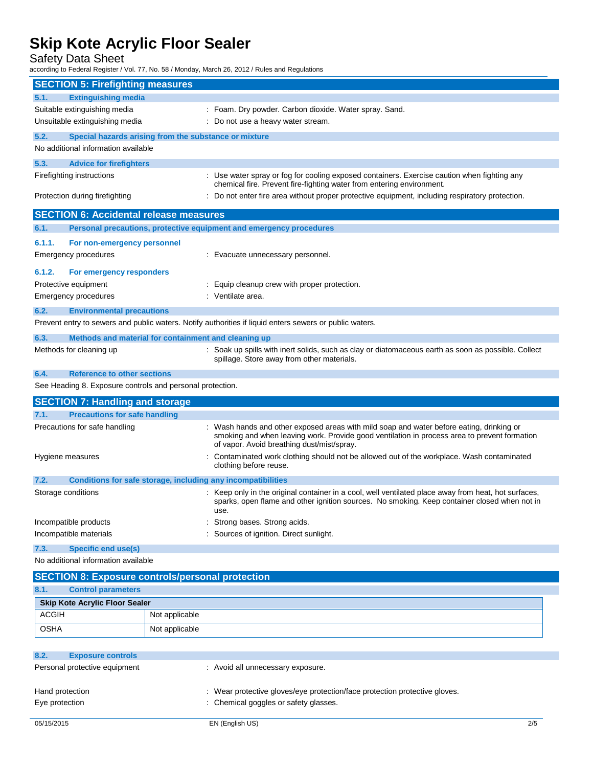Safety Data Sheet

according to Federal Register / Vol. 77, No. 58 / Monday, March 26, 2012 / Rules and Regulations

|                           | <b>SECTION 5: Firefighting measures</b>                             |                                                                                                                                                                                                                                        |
|---------------------------|---------------------------------------------------------------------|----------------------------------------------------------------------------------------------------------------------------------------------------------------------------------------------------------------------------------------|
| 5.1.                      | <b>Extinguishing media</b>                                          |                                                                                                                                                                                                                                        |
|                           | Suitable extinguishing media                                        | : Foam. Dry powder. Carbon dioxide. Water spray. Sand.                                                                                                                                                                                 |
|                           | Unsuitable extinguishing media                                      | : Do not use a heavy water stream.                                                                                                                                                                                                     |
| 5.2.                      | Special hazards arising from the substance or mixture               |                                                                                                                                                                                                                                        |
|                           | No additional information available                                 |                                                                                                                                                                                                                                        |
| 5.3.                      | <b>Advice for firefighters</b>                                      |                                                                                                                                                                                                                                        |
| Firefighting instructions |                                                                     | : Use water spray or fog for cooling exposed containers. Exercise caution when fighting any<br>chemical fire. Prevent fire-fighting water from entering environment.                                                                   |
|                           | Protection during firefighting                                      | : Do not enter fire area without proper protective equipment, including respiratory protection.                                                                                                                                        |
|                           | <b>SECTION 6: Accidental release measures</b>                       |                                                                                                                                                                                                                                        |
| 6.1.                      | Personal precautions, protective equipment and emergency procedures |                                                                                                                                                                                                                                        |
| 6.1.1.                    | For non-emergency personnel                                         |                                                                                                                                                                                                                                        |
|                           | <b>Emergency procedures</b>                                         | : Evacuate unnecessary personnel.                                                                                                                                                                                                      |
| 6.1.2.                    | For emergency responders                                            |                                                                                                                                                                                                                                        |
|                           | Protective equipment                                                | : Equip cleanup crew with proper protection.                                                                                                                                                                                           |
|                           | <b>Emergency procedures</b>                                         | : Ventilate area.                                                                                                                                                                                                                      |
| 6.2.                      | <b>Environmental precautions</b>                                    |                                                                                                                                                                                                                                        |
|                           |                                                                     | Prevent entry to sewers and public waters. Notify authorities if liquid enters sewers or public waters.                                                                                                                                |
| 6.3.                      | Methods and material for containment and cleaning up                |                                                                                                                                                                                                                                        |
|                           | Methods for cleaning up                                             | : Soak up spills with inert solids, such as clay or diatomaceous earth as soon as possible. Collect<br>spillage. Store away from other materials.                                                                                      |
| 6.4.                      | <b>Reference to other sections</b>                                  |                                                                                                                                                                                                                                        |
|                           | See Heading 8. Exposure controls and personal protection.           |                                                                                                                                                                                                                                        |
|                           | <b>SECTION 7: Handling and storage</b>                              |                                                                                                                                                                                                                                        |
| 7.1.                      | <b>Precautions for safe handling</b>                                |                                                                                                                                                                                                                                        |
|                           | Precautions for safe handling                                       | : Wash hands and other exposed areas with mild soap and water before eating, drinking or<br>smoking and when leaving work. Provide good ventilation in process area to prevent formation<br>of vapor. Avoid breathing dust/mist/spray. |
|                           | Hygiene measures                                                    | : Contaminated work clothing should not be allowed out of the workplace. Wash contaminated<br>clothing before reuse.                                                                                                                   |
| 7.2.                      | Conditions for safe storage, including any incompatibilities        |                                                                                                                                                                                                                                        |
|                           | Storage conditions                                                  | : Keep only in the original container in a cool, well ventilated place away from heat, hot surfaces,<br>sparks, open flame and other ignition sources. No smoking. Keep container closed when not in<br>use.                           |
|                           | Incompatible products                                               | : Strong bases. Strong acids.                                                                                                                                                                                                          |
|                           | Incompatible materials                                              | : Sources of ignition. Direct sunlight.                                                                                                                                                                                                |
| 7.3.                      | <b>Specific end use(s)</b>                                          |                                                                                                                                                                                                                                        |
|                           | No additional information available                                 |                                                                                                                                                                                                                                        |
|                           | <b>SECTION 8: Exposure controls/personal protection</b>             |                                                                                                                                                                                                                                        |
| 8.1.                      | <b>Control parameters</b>                                           |                                                                                                                                                                                                                                        |
|                           | <b>Skip Kote Acrylic Floor Sealer</b>                               |                                                                                                                                                                                                                                        |
| <b>ACGIH</b>              | Not applicable                                                      |                                                                                                                                                                                                                                        |

| 8.2.                          | <b>Exposure controls</b> |                                                                            |     |
|-------------------------------|--------------------------|----------------------------------------------------------------------------|-----|
| Personal protective equipment |                          | : Avoid all unnecessary exposure.                                          |     |
| Hand protection               |                          | : Wear protective gloves/eye protection/face protection protective gloves. |     |
| Eye protection                |                          | : Chemical goggles or safety glasses.                                      |     |
| 05/15/2015                    |                          | EN (English US)                                                            | 2/5 |

OSHA Not applicable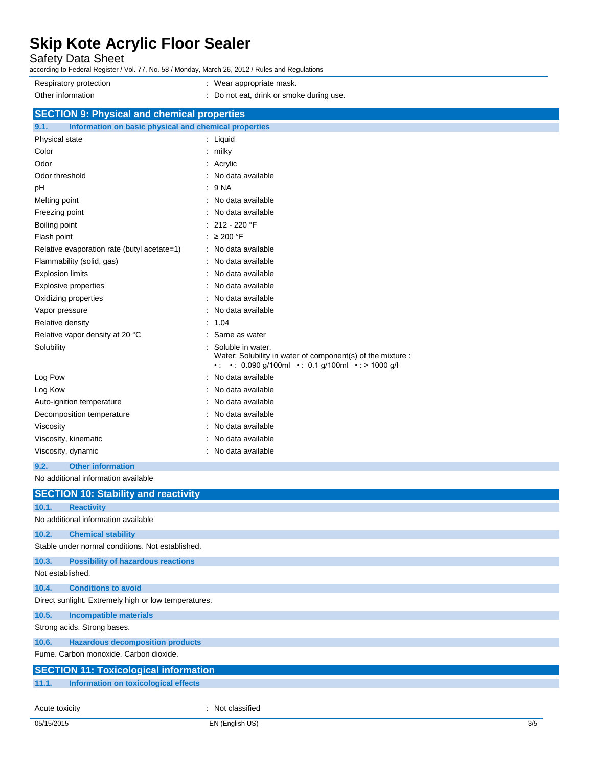Safety Data Sheet

- according to Federal Register / Vol. 77, No. 58 / Monday, March 26, 2012 / Rules and Regulations Respiratory protection **in the contract of the CO** is a Wear appropriate mask. Other information : Do not eat, drink or smoke during use. **SECTION 9: Physical and chemical properties 9.1. Information on basic physical and chemical properties** Physical state : Liquid Color : milky Odor : Acrylic : Acrylic : Acrylic : Acrylic : Acrylic : Acrylic : Acrylic : Acrylic : Acrylic : Acrylic : Acrylic : Acrylic : Acrylic :  $\sim$  7.575  $\mu$  :  $\mu$  :  $\mu$  :  $\mu$  :  $\mu$  :  $\mu$  :  $\mu$  :  $\mu$  :  $\mu$  :  $\mu$  :  $\mu$ Odor threshold : No data available pH : 9 NA Melting point **Melting point :** No data available Freezing point **in the case of the case of the case of the case of the case of the case of the case of the case of the case of the case of the case of the case of the case of the case of the case of the case of the case of** Boiling point : 212 - 220 °F Flash point : ≥ 200 °F Relative evaporation rate (butyl acetate=1) : No data available Flammability (solid, gas) : No data available Explosion limits **Explosion** limits **in the set of the set of the set of the set of the set of the set of the set of the set of the set of the set of the set of the set of the set of the set of the set of the set of the se** Explosive properties in the set of the set of the set of the set of the set of the set of the set of the set of the set of the set of the set of the set of the set of the set of the set of the set of the set of the set of Oxidizing properties **in the contract of the Contract August** 2012 : No data available Vapor pressure in the set of the set of the set of the Vapor pressure in the set of the Vapor control of the V Relative density : 1.04 Relative vapor density at 20 °C : Same as water Solubility : Soluble in water. Water: Solubility in water of component(s) of the mixture : •  $\cdot$  0.090 g/100ml • : 0.1 g/100ml • : > 1000 g/l
	- Log Pow **:** No data available Log Kow **: No data available** Auto-ignition temperature : No data available Decomposition temperature : No data available Viscosity **in the COVID-2003** Viscosity **: No data available** Viscosity, kinematic **intervalse in the Contract Contract Contract Contract Contract Contract Contract Contract Contract Contract Contract Contract Contract Contract Contract Contract Contract Contract Contract Contract Co** Viscosity, dynamic **intervalse and the Contract Contract Contract Contract Contract Contract Contract Contract Contract Contract Contract Contract Contract Contract Contract Contract Contract Contract Contract Contract Con**

#### **9.2. Other information**

No additional information available

| <b>SECTION 10: Stability and reactivity</b>          |                                             |                  |  |
|------------------------------------------------------|---------------------------------------------|------------------|--|
| 10.1.                                                | <b>Reactivity</b>                           |                  |  |
| No additional information available                  |                                             |                  |  |
| 10.2.                                                | <b>Chemical stability</b>                   |                  |  |
| Stable under normal conditions. Not established.     |                                             |                  |  |
| 10.3.                                                | <b>Possibility of hazardous reactions</b>   |                  |  |
| Not established.                                     |                                             |                  |  |
| 10.4.                                                | <b>Conditions to avoid</b>                  |                  |  |
| Direct sunlight. Extremely high or low temperatures. |                                             |                  |  |
| 10.5.                                                | <b>Incompatible materials</b>               |                  |  |
|                                                      | Strong acids. Strong bases.                 |                  |  |
| 10.6.                                                | <b>Hazardous decomposition products</b>     |                  |  |
| Fume, Carbon monoxide, Carbon dioxide,               |                                             |                  |  |
| <b>SECTION 11: Toxicological information</b>         |                                             |                  |  |
| 11.1.                                                | <b>Information on toxicological effects</b> |                  |  |
|                                                      |                                             |                  |  |
| Acute toxicity                                       |                                             | : Not classified |  |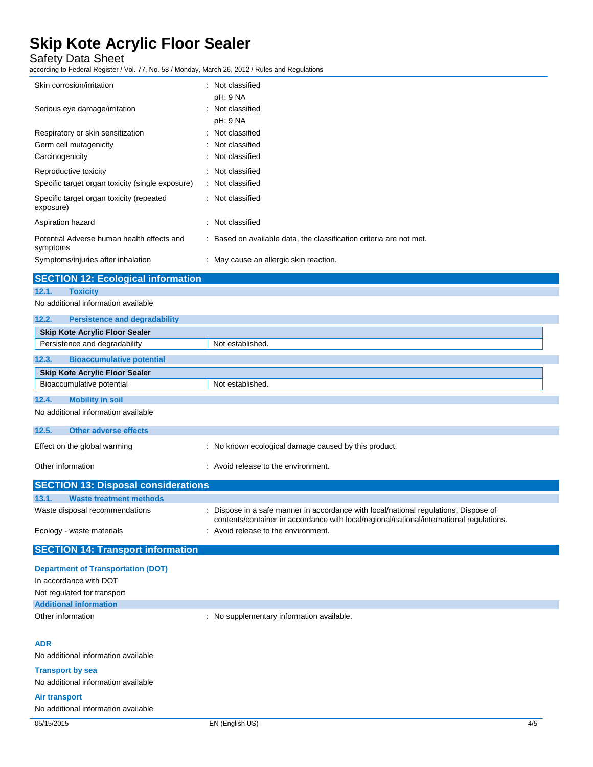Safety Data Sheet

according to Federal Register / Vol. 77, No. 58 / Monday, March 26, 2012 / Rules and Regulations

| Skin corrosion/irritation                              | Not classified                                                      |
|--------------------------------------------------------|---------------------------------------------------------------------|
|                                                        | pH: 9 NA                                                            |
| Serious eye damage/irritation                          | Not classified                                                      |
|                                                        | pH: 9 NA                                                            |
| Respiratory or skin sensitization                      | Not classified                                                      |
| Germ cell mutagenicity                                 | : Not classified                                                    |
| Carcinogenicity                                        | : Not classified                                                    |
| Reproductive toxicity                                  | Not classified                                                      |
| Specific target organ toxicity (single exposure)       | Not classified                                                      |
| Specific target organ toxicity (repeated<br>exposure)  | : Not classified                                                    |
| Aspiration hazard                                      | : Not classified                                                    |
| Potential Adverse human health effects and<br>symptoms | : Based on available data, the classification criteria are not met. |
| Symptoms/injuries after inhalation                     | : May cause an allergic skin reaction.                              |
| <b>SECTION 12: Ecological information</b>              |                                                                     |
| 12.1.<br><b>Toxicity</b>                               |                                                                     |

No additional information available

| 12.2.<br><b>Persistence and degradability</b> |                                                                                                                                                                                |
|-----------------------------------------------|--------------------------------------------------------------------------------------------------------------------------------------------------------------------------------|
| <b>Skip Kote Acrylic Floor Sealer</b>         |                                                                                                                                                                                |
| Persistence and degradability                 | Not established.                                                                                                                                                               |
| 12.3.<br><b>Bioaccumulative potential</b>     |                                                                                                                                                                                |
| <b>Skip Kote Acrylic Floor Sealer</b>         |                                                                                                                                                                                |
| Bioaccumulative potential                     | Not established.                                                                                                                                                               |
| 12.4.<br><b>Mobility in soil</b>              |                                                                                                                                                                                |
| No additional information available           |                                                                                                                                                                                |
| <b>Other adverse effects</b><br>12.5.         |                                                                                                                                                                                |
| Effect on the global warming                  | : No known ecological damage caused by this product.                                                                                                                           |
| Other information                             | : Avoid release to the environment.                                                                                                                                            |
| <b>SECTION 13: Disposal considerations</b>    |                                                                                                                                                                                |
| <b>Waste treatment methods</b><br>13.1.       |                                                                                                                                                                                |
| Waste disposal recommendations                | Dispose in a safe manner in accordance with local/national regulations. Dispose of<br>contents/container in accordance with local/regional/national/international regulations. |
| Ecology - waste materials                     | : Avoid release to the environment.                                                                                                                                            |
| <b>SECTION 14: Transport information</b>      |                                                                                                                                                                                |
| <b>Department of Transportation (DOT)</b>     |                                                                                                                                                                                |
| In accordance with DOT                        |                                                                                                                                                                                |
| Not regulated for transport                   |                                                                                                                                                                                |
| <b>Additional information</b>                 |                                                                                                                                                                                |
| Other information                             | : No supplementary information available.                                                                                                                                      |
| <b>ADR</b>                                    |                                                                                                                                                                                |
| No additional information available           |                                                                                                                                                                                |
| <b>Transport by sea</b>                       |                                                                                                                                                                                |
| No additional information available           |                                                                                                                                                                                |
| Air transport                                 |                                                                                                                                                                                |

No additional information available